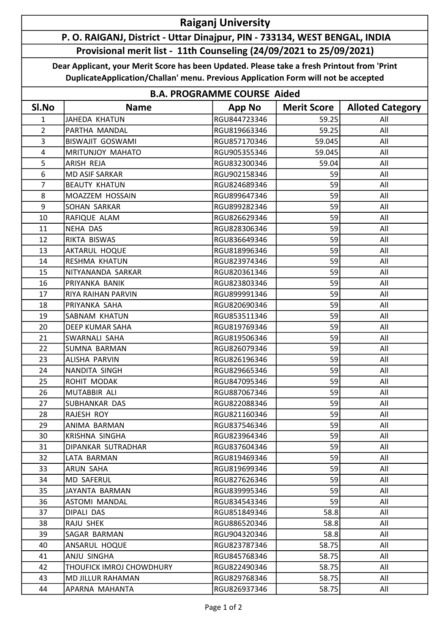## Raiganj University

## P. O. RAIGANJ, District - Uttar Dinajpur, PIN - 733134, WEST BENGAL, INDIA Provisional merit list - 11th Counseling (24/09/2021 to 25/09/2021)

Dear Applicant, your Merit Score has been Updated. Please take a fresh Printout from 'Print DuplicateApplication/Challan' menu. Previous Application Form will not be accepted

| <b>B.A. PROGRAMME COURSE Aided</b> |                          |               |                    |                         |  |  |  |
|------------------------------------|--------------------------|---------------|--------------------|-------------------------|--|--|--|
| Sl.No                              | <b>Name</b>              | <b>App No</b> | <b>Merit Score</b> | <b>Alloted Category</b> |  |  |  |
| 1                                  | <b>JAHEDA KHATUN</b>     | RGU844723346  | 59.25              | All                     |  |  |  |
| $\overline{2}$                     | PARTHA MANDAL            | RGU819663346  | 59.25              | All                     |  |  |  |
| 3                                  | <b>BISWAJIT GOSWAMI</b>  | RGU857170346  | 59.045             | All                     |  |  |  |
| $\overline{4}$                     | MRITUNJOY MAHATO         | RGU905355346  | 59.045             | All                     |  |  |  |
| 5                                  | ARISH REJA               | RGU832300346  | 59.04              | All                     |  |  |  |
| 6                                  | <b>MD ASIF SARKAR</b>    | RGU902158346  | 59                 | All                     |  |  |  |
| $\overline{7}$                     | <b>BEAUTY KHATUN</b>     | RGU824689346  | 59                 | All                     |  |  |  |
| 8                                  | MOAZZEM HOSSAIN          | RGU899647346  | 59                 | All                     |  |  |  |
| 9                                  | SOHAN SARKAR             | RGU899282346  | 59                 | All                     |  |  |  |
| 10                                 | RAFIQUE ALAM             | RGU826629346  | 59                 | All                     |  |  |  |
| 11                                 | NEHA DAS                 | RGU828306346  | 59                 | All                     |  |  |  |
| 12                                 | RIKTA BISWAS             | RGU836649346  | 59                 | All                     |  |  |  |
| 13                                 | <b>AKTARUL HOQUE</b>     | RGU818996346  | 59                 | All                     |  |  |  |
| 14                                 | RESHMA KHATUN            | RGU823974346  | 59                 | All                     |  |  |  |
| 15                                 | NITYANANDA SARKAR        | RGU820361346  | 59                 | All                     |  |  |  |
| 16                                 | PRIYANKA BANIK           | RGU823803346  | 59                 | All                     |  |  |  |
| 17                                 | RIYA RAIHAN PARVIN       | RGU899991346  | 59                 | All                     |  |  |  |
| 18                                 | PRIYANKA SAHA            | RGU820690346  | 59                 | All                     |  |  |  |
| 19                                 | SABNAM KHATUN            | RGU853511346  | 59                 | All                     |  |  |  |
| 20                                 | <b>DEEP KUMAR SAHA</b>   | RGU819769346  | 59                 | All                     |  |  |  |
| 21                                 | SWARNALI SAHA            | RGU819506346  | 59                 | All                     |  |  |  |
| 22                                 | SUMNA BARMAN             | RGU826079346  | 59                 | All                     |  |  |  |
| 23                                 | <b>ALISHA PARVIN</b>     | RGU826196346  | 59                 | All                     |  |  |  |
| 24                                 | NANDITA SINGH            | RGU829665346  | 59                 | All                     |  |  |  |
| 25                                 | ROHIT MODAK              | RGU847095346  | 59                 | All                     |  |  |  |
| 26                                 | MUTABBIR ALI             | RGU887067346  | 59                 | All                     |  |  |  |
| 27                                 | SUBHANKAR DAS            | RGU822088346  | 59                 | All                     |  |  |  |
| 28                                 | RAJESH ROY               | RGU821160346  | 59                 | All                     |  |  |  |
| 29                                 | ANIMA BARMAN             | RGU837546346  | 59                 | All                     |  |  |  |
| 30                                 | KRISHNA SINGHA           | RGU823964346  | 59                 | All                     |  |  |  |
| 31                                 | DIPANKAR SUTRADHAR       | RGU837604346  | 59                 | All                     |  |  |  |
| 32                                 | LATA BARMAN              | RGU819469346  | 59                 | All                     |  |  |  |
| 33                                 | ARUN SAHA                | RGU819699346  | 59                 | All                     |  |  |  |
| 34                                 | MD SAFERUL               | RGU827626346  | 59                 | All                     |  |  |  |
| 35                                 | JAYANTA BARMAN           | RGU839995346  | 59                 | All                     |  |  |  |
| 36                                 | ASTOMI MANDAL            | RGU834543346  | 59                 | All                     |  |  |  |
| 37                                 | DIPALI DAS               | RGU851849346  | 58.8               | All                     |  |  |  |
| 38                                 | RAJU SHEK                | RGU886520346  | 58.8               | All                     |  |  |  |
| 39                                 | SAGAR BARMAN             | RGU904320346  | 58.8               | All                     |  |  |  |
| 40                                 | ANSARUL HOQUE            | RGU823787346  | 58.75              | All                     |  |  |  |
| 41                                 | ANJU SINGHA              | RGU845768346  | 58.75              | All                     |  |  |  |
| 42                                 | THOUFICK IMROJ CHOWDHURY | RGU822490346  | 58.75              | All                     |  |  |  |
| 43                                 | <b>MD JILLUR RAHAMAN</b> | RGU829768346  | 58.75              | All                     |  |  |  |
| 44                                 | APARNA MAHANTA           | RGU826937346  | 58.75              | All                     |  |  |  |